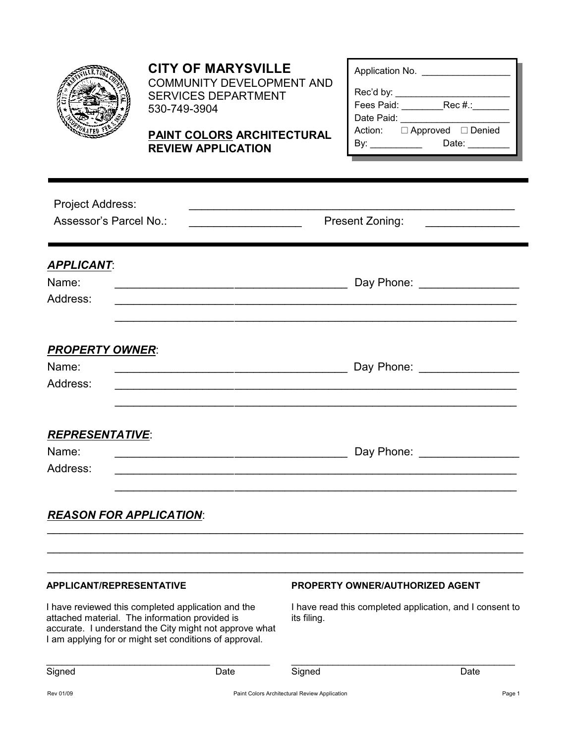

# **CITY OF MARYSVILLE**

COMMUNITY DEVELOPMENT AND SERVICES DEPARTMENT 530-749-3904

## **PAINT COLORS ARCHITECTURAL REVIEW APPLICATION**

| Application No.                                                                                                                                                                                                                |                             |  |  |  |
|--------------------------------------------------------------------------------------------------------------------------------------------------------------------------------------------------------------------------------|-----------------------------|--|--|--|
| Rec'd by:                                                                                                                                                                                                                      |                             |  |  |  |
| Fees Paid:                                                                                                                                                                                                                     | Rec #.:_______              |  |  |  |
| Date Paid:                                                                                                                                                                                                                     |                             |  |  |  |
|                                                                                                                                                                                                                                | Action: □ Approved □ Denied |  |  |  |
| By: the contract of the contract of the contract of the contract of the contract of the contract of the contract of the contract of the contract of the contract of the contract of the contract of the contract of the contra | Date:                       |  |  |  |
|                                                                                                                                                                                                                                |                             |  |  |  |

| <b>Project Address:</b><br>Assessor's Parcel No.: | Present Zoning:                                                                     |  |  |
|---------------------------------------------------|-------------------------------------------------------------------------------------|--|--|
| <b>APPLICANT:</b><br>Name:<br>Address:            | Day Phone: __________________<br><u> 1980 - John Stone, Amerikaansk politiker (</u> |  |  |
| <b>PROPERTY OWNER:</b><br>Name:<br>Address:       | Day Phone: __________________                                                       |  |  |
| <b>REPRESENTATIVE:</b><br>Name:<br>Address:       | Day Phone: <u>__________________</u>                                                |  |  |
| <b>REASON FOR APPLICATION:</b>                    |                                                                                     |  |  |
| ADDLICANT/DEDDESENTATIVE                          | <b>DDODEDTV OWNED/AUTUODIZED ACENT</b>                                              |  |  |

### **APPLICANT/REPRESENTATIVE**

I have reviewed this completed application and the attached material. The information provided is accurate. I understand the City might not approve what I am applying for or might set conditions of approval.

\_\_\_\_\_\_\_\_\_\_\_\_\_\_\_\_\_\_\_\_\_\_\_\_\_\_\_\_\_\_\_\_\_\_\_\_\_\_\_\_\_\_\_

### **PROPERTY OWNER/AUTHORIZED AGENT**

I have read this completed application, and I consent to its filing.

\_\_\_\_\_\_\_\_\_\_\_\_\_\_\_\_\_\_\_\_\_\_\_\_\_\_\_\_\_\_\_\_\_\_\_\_\_\_\_\_\_\_\_

Signed Date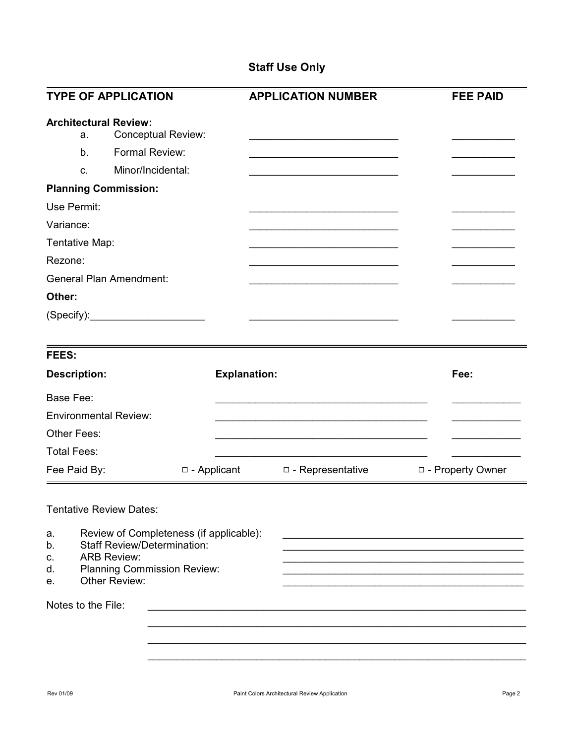## **Staff Use Only**

| <b>TYPE OF APPLICATION</b>                                                                                                                                                                            |                                         | <b>APPLICATION NUMBER</b> | <b>FEE PAID</b>    |
|-------------------------------------------------------------------------------------------------------------------------------------------------------------------------------------------------------|-----------------------------------------|---------------------------|--------------------|
| <b>Architectural Review:</b><br>a.<br>Formal Review:<br>b.<br>Minor/Incidental:<br>C.                                                                                                                 | <b>Conceptual Review:</b>               |                           |                    |
| <b>Planning Commission:</b><br>Use Permit:<br>Variance:<br>Tentative Map:<br>Rezone:<br><b>General Plan Amendment:</b><br>Other:<br>(Specify):                                                        |                                         |                           |                    |
| <b>FEES:</b><br><b>Description:</b>                                                                                                                                                                   | <b>Explanation:</b>                     |                           | Fee:               |
| <b>Base Fee:</b><br><b>Environmental Review:</b><br>Other Fees:                                                                                                                                       |                                         |                           |                    |
| <b>Total Fees:</b><br>Fee Paid By:                                                                                                                                                                    | $\Box$ - Applicant                      | $\Box$ - Representative   | □ - Property Owner |
| <b>Tentative Review Dates:</b><br>a.<br><b>Staff Review/Determination:</b><br>b.<br><b>ARB Review:</b><br>c.<br><b>Planning Commission Review:</b><br>d.<br>Other Review:<br>е.<br>Notes to the File: | Review of Completeness (if applicable): |                           |                    |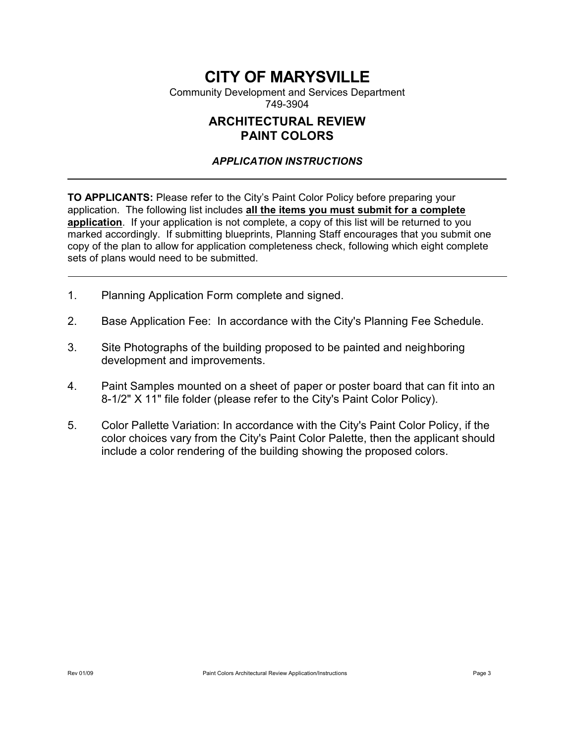# **CITY OF MARYSVILLE**

Community Development and Services Department 749-3904

## **ARCHITECTURAL REVIEW PAINT COLORS**

### *APPLICATION INSTRUCTIONS*

**TO APPLICANTS:** Please refer to the City's Paint Color Policy before preparing your application. The following list includes **all the items you must submit for a complete application**. If your application is not complete, a copy of this list will be returned to you marked accordingly. If submitting blueprints, Planning Staff encourages that you submit one copy of the plan to allow for application completeness check, following which eight complete sets of plans would need to be submitted.

- 1. Planning Application Form complete and signed.
- 2. Base Application Fee: In accordance with the City's Planning Fee Schedule.
- 3. Site Photographs of the building proposed to be painted and neighboring development and improvements.
- 4. Paint Samples mounted on a sheet of paper or poster board that can fit into an 8-1/2" X 11" file folder (please refer to the City's Paint Color Policy).
- 5. Color Pallette Variation: In accordance with the City's Paint Color Policy, if the color choices vary from the City's Paint Color Palette, then the applicant should include a color rendering of the building showing the proposed colors.